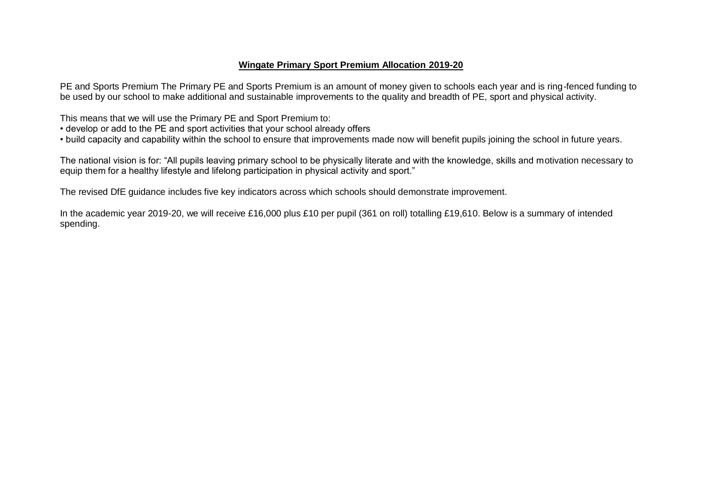### **Wingate Primary Sport Premium Allocation 2019-20**

PE and Sports Premium The Primary PE and Sports Premium is an amount of money given to schools each year and is ring-fenced funding to be used by our school to make additional and sustainable improvements to the quality and breadth of PE, sport and physical activity.

This means that we will use the Primary PE and Sport Premium to:

- develop or add to the PE and sport activities that your school already offers
- build capacity and capability within the school to ensure that improvements made now will benefit pupils joining the school in future years.

The national vision is for: "All pupils leaving primary school to be physically literate and with the knowledge, skills and motivation necessary to equip them for a healthy lifestyle and lifelong participation in physical activity and sport."

The revised DfE guidance includes five key indicators across which schools should demonstrate improvement.

In the academic year 2019-20, we will receive £16,000 plus £10 per pupil (361 on roll) totalling £19,610. Below is a summary of intended spending.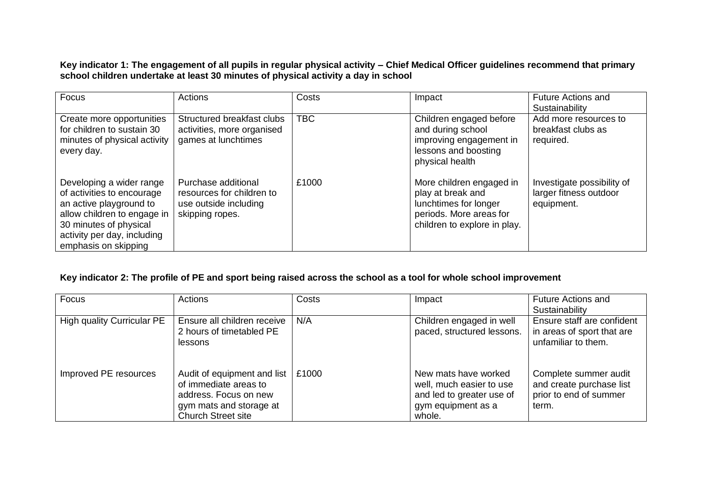**Key indicator 1: The engagement of all pupils in regular physical activity – Chief Medical Officer guidelines recommend that primary school children undertake at least 30 minutes of physical activity a day in school**

| Focus                                                                                                                                                                                             | Actions                                                                                      | Costs      | Impact                                                                                                                            | <b>Future Actions and</b><br>Sustainability                        |
|---------------------------------------------------------------------------------------------------------------------------------------------------------------------------------------------------|----------------------------------------------------------------------------------------------|------------|-----------------------------------------------------------------------------------------------------------------------------------|--------------------------------------------------------------------|
| Create more opportunities<br>for children to sustain 30<br>minutes of physical activity<br>every day.                                                                                             | Structured breakfast clubs<br>activities, more organised<br>games at lunchtimes              | <b>TBC</b> | Children engaged before<br>and during school<br>improving engagement in<br>lessons and boosting<br>physical health                | Add more resources to<br>breakfast clubs as<br>required.           |
| Developing a wider range<br>of activities to encourage<br>an active playground to<br>allow children to engage in<br>30 minutes of physical<br>activity per day, including<br>emphasis on skipping | Purchase additional<br>resources for children to<br>use outside including<br>skipping ropes. | £1000      | More children engaged in<br>play at break and<br>lunchtimes for longer<br>periods. More areas for<br>children to explore in play. | Investigate possibility of<br>larger fitness outdoor<br>equipment. |

### **Key indicator 2: The profile of PE and sport being raised across the school as a tool for whole school improvement**

| <b>Focus</b>                      | <b>Actions</b>              | Costs | Impact                     | <b>Future Actions and</b>  |
|-----------------------------------|-----------------------------|-------|----------------------------|----------------------------|
|                                   |                             |       |                            | Sustainability             |
| <b>High quality Curricular PE</b> | Ensure all children receive | N/A   | Children engaged in well   | Ensure staff are confident |
|                                   | 2 hours of timetabled PE    |       | paced, structured lessons. | in areas of sport that are |
|                                   | lessons                     |       |                            | unfamiliar to them.        |
|                                   |                             |       |                            |                            |
|                                   |                             |       |                            |                            |
| Improved PE resources             | Audit of equipment and list | £1000 | New mats have worked       | Complete summer audit      |
|                                   | of immediate areas to       |       | well, much easier to use   | and create purchase list   |
|                                   | address. Focus on new       |       | and led to greater use of  | prior to end of summer     |
|                                   | gym mats and storage at     |       | gym equipment as a         | term.                      |
|                                   | <b>Church Street site</b>   |       | whole.                     |                            |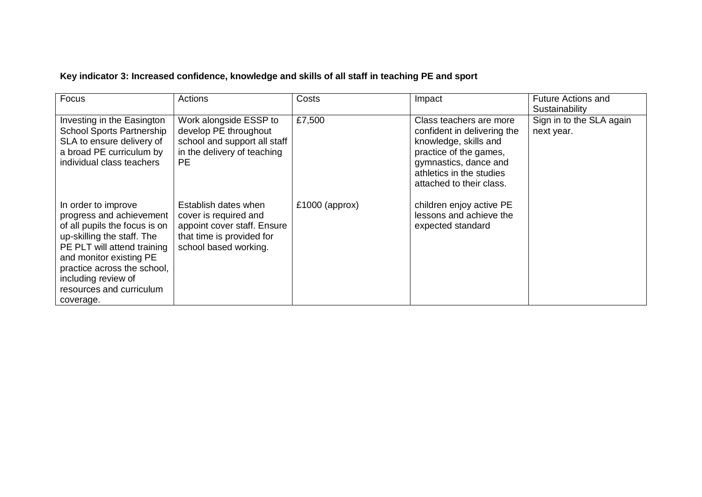# **Key indicator 3: Increased confidence, knowledge and skills of all staff in teaching PE and sport**

| Focus                                                                                                                                                                                                                                                                   | Actions                                                                                                                            | Costs            | Impact                                                                                                                                                                                     | <b>Future Actions and</b><br>Sustainability |
|-------------------------------------------------------------------------------------------------------------------------------------------------------------------------------------------------------------------------------------------------------------------------|------------------------------------------------------------------------------------------------------------------------------------|------------------|--------------------------------------------------------------------------------------------------------------------------------------------------------------------------------------------|---------------------------------------------|
| Investing in the Easington<br><b>School Sports Partnership</b><br>SLA to ensure delivery of<br>a broad PE curriculum by<br>individual class teachers                                                                                                                    | Work alongside ESSP to<br>develop PE throughout<br>school and support all staff<br>in the delivery of teaching<br>PE.              | £7,500           | Class teachers are more<br>confident in delivering the<br>knowledge, skills and<br>practice of the games,<br>gymnastics, dance and<br>athletics in the studies<br>attached to their class. | Sign in to the SLA again<br>next year.      |
| In order to improve<br>progress and achievement<br>of all pupils the focus is on<br>up-skilling the staff. The<br>PE PLT will attend training<br>and monitor existing PE<br>practice across the school,<br>including review of<br>resources and curriculum<br>coverage. | Establish dates when<br>cover is required and<br>appoint cover staff. Ensure<br>that time is provided for<br>school based working. | $£1000$ (approx) | children enjoy active PE<br>lessons and achieve the<br>expected standard                                                                                                                   |                                             |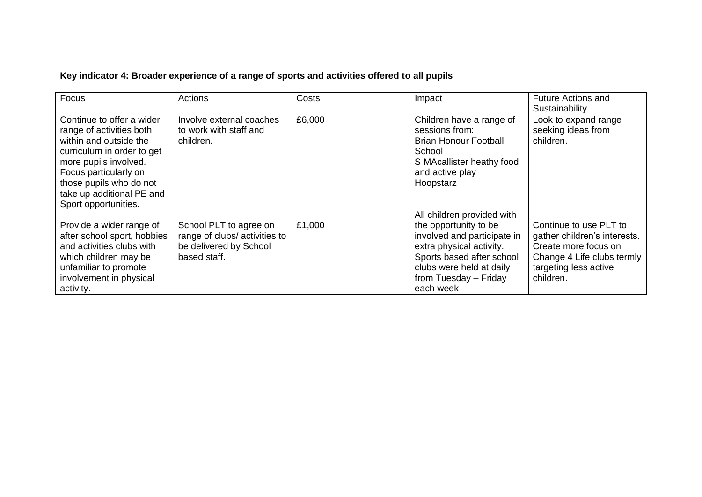# **Key indicator 4: Broader experience of a range of sports and activities offered to all pupils**

| Focus                                                                                                                                                                                                                                           | Actions                                                                                          | Costs  | Impact                                                                                                                                                                                                        | <b>Future Actions and</b><br>Sustainability                                                                                                        |
|-------------------------------------------------------------------------------------------------------------------------------------------------------------------------------------------------------------------------------------------------|--------------------------------------------------------------------------------------------------|--------|---------------------------------------------------------------------------------------------------------------------------------------------------------------------------------------------------------------|----------------------------------------------------------------------------------------------------------------------------------------------------|
| Continue to offer a wider<br>range of activities both<br>within and outside the<br>curriculum in order to get<br>more pupils involved.<br>Focus particularly on<br>those pupils who do not<br>take up additional PE and<br>Sport opportunities. | Involve external coaches<br>to work with staff and<br>children.                                  | £6,000 | Children have a range of<br>sessions from:<br><b>Brian Honour Football</b><br>School<br>S MAcallister heathy food<br>and active play<br>Hoopstarz                                                             | Look to expand range<br>seeking ideas from<br>children.                                                                                            |
| Provide a wider range of<br>after school sport, hobbies<br>and activities clubs with<br>which children may be<br>unfamiliar to promote<br>involvement in physical<br>activity.                                                                  | School PLT to agree on<br>range of clubs/activities to<br>be delivered by School<br>based staff. | £1,000 | All children provided with<br>the opportunity to be<br>involved and participate in<br>extra physical activity.<br>Sports based after school<br>clubs were held at daily<br>from Tuesday - Friday<br>each week | Continue to use PLT to<br>gather children's interests.<br>Create more focus on<br>Change 4 Life clubs termly<br>targeting less active<br>children. |